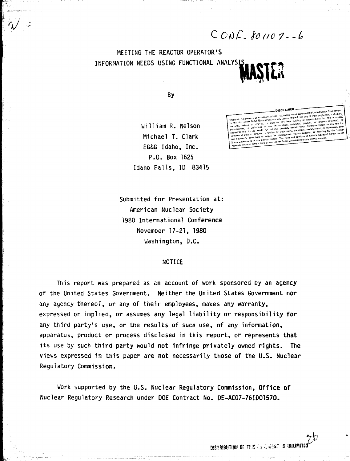$COMC.$  So 1107-6

MEETING THE REACTOR OPERATOR'S INFORMATION NEEDS USING FUNCTIONAL ANALYS **MASIL:**

By

 $\tilde{\gamma}$ 

William R. Nelson Michael T. Clark EG&G Idaho, Inc. P.O. Box 1625 Idaho Falls, ID 83415

they of the United States ( Fistes Govern tomility<sup>1</sup> mply its endorsement, recommissions of auth<br>cy thereof. The views and opinions of auth annis. The views and opinions or authors<br>I States Government or any agency state or reflect those of the Unit

Submitted for Presentation at: American Nuclear Society 1980 International Conference November 17-21, 1980 Washington, D.C.

## NOTICE

This report was prepared as an account of work sponsored by an agency of the United States Government. Neither the United States Government **nor** any agency thereof, or any of their employees, makes any warranty, expressed or implied, or assumes any legal liability or responsibility **for** any third party's use, or the results of such use, of any information, apparatus, product or process disclosed in this report, or represents **that** its use by such third party would not infringe privately owned rights. **The** views expressed in this paper are not necessarily those of the U.S. **Nuclear** Regulatory Commission.

Work supported by the U.S. Nuclear Regulatory Commission, **Office of** Nuclear Regulatory Research under DOE Contract No. DE-ACO7-76IDO157O.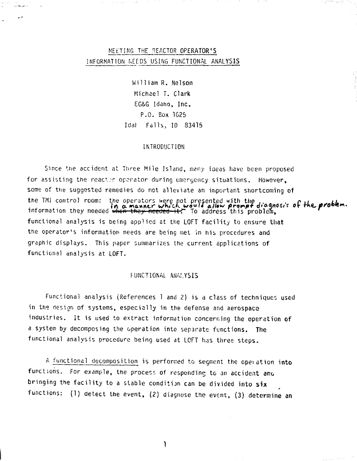# MELTING THE REACTOR OPERATOR'S INFORMATION NEEDS USING FUNCTIONAL ANALYSIS

William R. Nelson Michael T. Clark EG&G Idaho, Inc. P.O. Box 1625 Idat Falls, ID 83415

## INTRODUCTION

Since the accident at Three Mile Island, many ideas have been proposed for assisting the reactor operator during emergency situations. However, some of the suggested remedies do not alleviate an important shortcoming of the TMI control room: the operators were not presented with the  $\mu$ ,  $\rho$ ine operators were not presented with the<br>**in a manner which wauld allow prompt diagnosis of**<br><del>when they needed it!</del> To address this problem.  $\sim$  $i,j$  is the thick they increase with the address this problem, functional analysis is being applied at the LOFT facility to ensure that the operator's information needs are being met in his procedures and graphic displays. This paper summarizes the current applications of functional analysis at LOFT.

#### FUNCTIONAL ANALYSIS

Functional analysis (References 1 and 2) is a class of techniques used in the design of systems, especially in the defense and aerospace industries. It is used to extract information concerning the operation of a system by decomposing the operation into separate functions. The functional analysis procedure being used at LOFT has three steps.

A functional decomposition is performed to segment the operation into functions. For example, the process of responding to an accident and bringing the facility to a stable condition can be divided into six functions: (1) detect the event, (2) diagnose the event, (3) determine an

<sup>1</sup>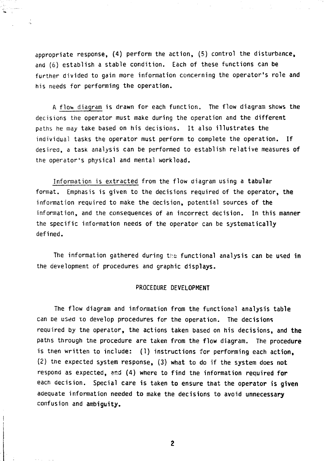appropriate response, (4) perform the action, (5) control the disturbance, and (6) establish a stable condition. Each of these functions can be further divided to gain more information concerning the operator's role and his needs for performing the operation.

 $\frac{1}{2}$ 

A flov. diagram is drawn for each function. The flow diagram shows the decisions the operator must make during the operation and the different paths he may take based on his decisions. It also illustrates the individual tasks the operator must perform to complete the operation. If desired, a task analysis can be performed to establish relative measures of the operator's physical and mental workload.

Information is extracted from the flow diagram using a tabular format. Emphasis is given to the decisions required of the operator, the information required to make the decision, potential sources of the information, and the consequences of an incorrect decision. In this manner the specific information needs of the operator can be systematically defined.

The information gathered during the functional analysis can be used in the development of procedures and graphic displays.

## PROCEDURE DEVELOPMENT

The flow diagram and information from the functional analysis table can be used to develop procedures for the operation. The decisions required by the operator, the actions taken based on his decisions, and the paths through the procedure are taken from the flow diagram. The procedure is then written to include: (1) instructions for performing each action, (2) tne expected system response, (3) what to do if the system does not respond as expected, 5P.d (4) where to find the information required **for** each decision. Special care is taken to ensure that the operator is given adequate information needed to make the decisions to avoid unnecessary confusion and ambiguity.

 $\overline{2}$